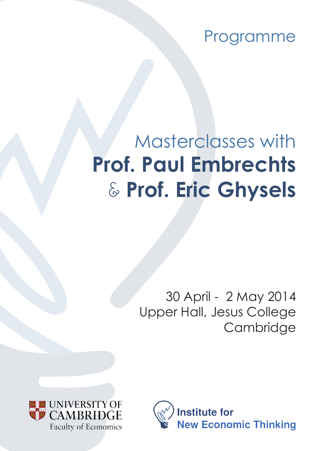Programme

# Masterclasses with **Prof. Paul Embrechts**  & **Prof. Eric Ghysels**

30 April - 2 May 2014 Upper Hall, Jesus College **Cambridge** 



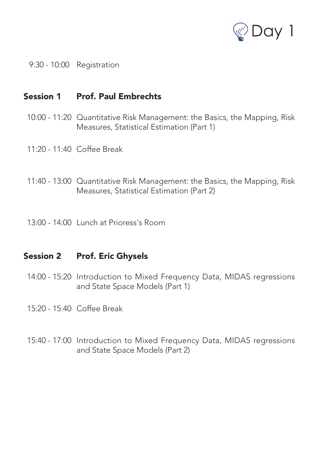

9:30 - 10:00 Registration

### Session 1 Prof. Paul Embrechts

- 10:00 11:20 Quantitative Risk Management: the Basics, the Mapping, Risk Measures, Statistical Estimation (Part 1)
- 11:20 11:40 Coffee Break
- 11:40 13:00 Quantitative Risk Management: the Basics, the Mapping, Risk Measures, Statistical Estimation (Part 2)
- 13:00 14:00 Lunch at Prioress's Room

#### Session 2 Prof. Eric Ghysels

- 14:00 15:20 Introduction to Mixed Frequency Data, MIDAS regressions and State Space Models (Part 1)
- 15:20 15:40 Coffee Break
- 15:40 17:00 Introduction to Mixed Frequency Data, MIDAS regressions and State Space Models (Part 2)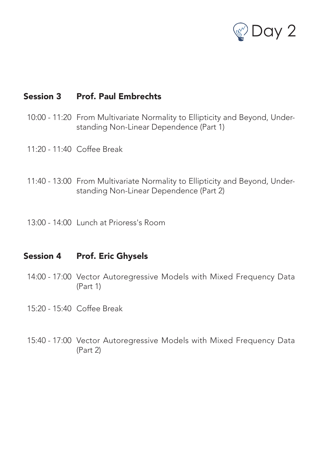

## Session 3 Prof. Paul Embrechts

- 10:00 11:20 From Multivariate Normality to Ellipticity and Beyond, Understanding Non-Linear Dependence (Part 1)
- 11:20 11:40 Coffee Break
- 11:40 13:00 From Multivariate Normality to Ellipticity and Beyond, Understanding Non-Linear Dependence (Part 2)
- 13:00 14:00 Lunch at Prioress's Room

#### Session 4 Prof. Eric Ghysels

- 14:00 17:00 Vector Autoregressive Models with Mixed Frequency Data (Part 1)
- 15:20 15:40 Coffee Break
- 15:40 17:00 Vector Autoregressive Models with Mixed Frequency Data (Part 2)